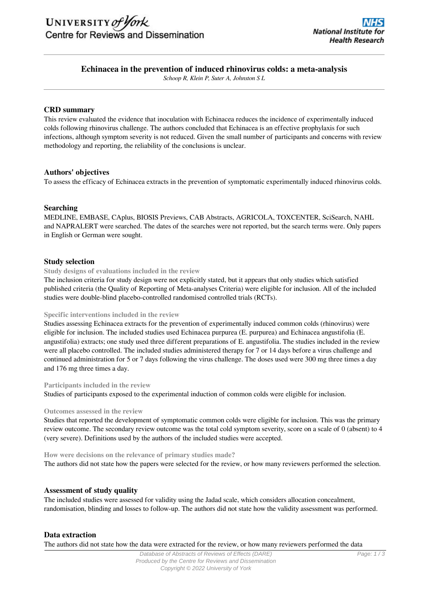

# **Echinacea in the prevention of induced rhinovirus colds: a meta-analysis**

*Schoop R, Klein P, Suter A, Johnston S L*

### **CRD summary**

This review evaluated the evidence that inoculation with Echinacea reduces the incidence of experimentally induced colds following rhinovirus challenge. The authors concluded that Echinacea is an effective prophylaxis for such infections, although symptom severity is not reduced. Given the small number of participants and concerns with review methodology and reporting, the reliability of the conclusions is unclear.

## **Authors' objectives**

To assess the efficacy of Echinacea extracts in the prevention of symptomatic experimentally induced rhinovirus colds.

## **Searching**

MEDLINE, EMBASE, CAplus, BIOSIS Previews, CAB Abstracts, AGRICOLA, TOXCENTER, SciSearch, NAHL and NAPRALERT were searched. The dates of the searches were not reported, but the search terms were. Only papers in English or German were sought.

## **Study selection**

**Study designs of evaluations included in the review**

The inclusion criteria for study design were not explicitly stated, but it appears that only studies which satisfied published criteria (the Quality of Reporting of Meta-analyses Criteria) were eligible for inclusion. All of the included studies were double-blind placebo-controlled randomised controlled trials (RCTs).

#### **Specific interventions included in the review**

Studies assessing Echinacea extracts for the prevention of experimentally induced common colds (rhinovirus) were eligible for inclusion. The included studies used Echinacea purpurea (E. purpurea) and Echinacea angustifolia (E. angustifolia) extracts; one study used three different preparations of E. angustifolia. The studies included in the review were all placebo controlled. The included studies administered therapy for 7 or 14 days before a virus challenge and continued administration for 5 or 7 days following the virus challenge. The doses used were 300 mg three times a day and 176 mg three times a day.

#### **Participants included in the review**

Studies of participants exposed to the experimental induction of common colds were eligible for inclusion.

#### **Outcomes assessed in the review**

Studies that reported the development of symptomatic common colds were eligible for inclusion. This was the primary review outcome. The secondary review outcome was the total cold symptom severity, score on a scale of 0 (absent) to 4 (very severe). Definitions used by the authors of the included studies were accepted.

**How were decisions on the relevance of primary studies made?** The authors did not state how the papers were selected for the review, or how many reviewers performed the selection.

#### **Assessment of study quality**

The included studies were assessed for validity using the Jadad scale, which considers allocation concealment, randomisation, blinding and losses to follow-up. The authors did not state how the validity assessment was performed.

#### **Data extraction**

The authors did not state how the data were extracted for the review, or how many reviewers performed the data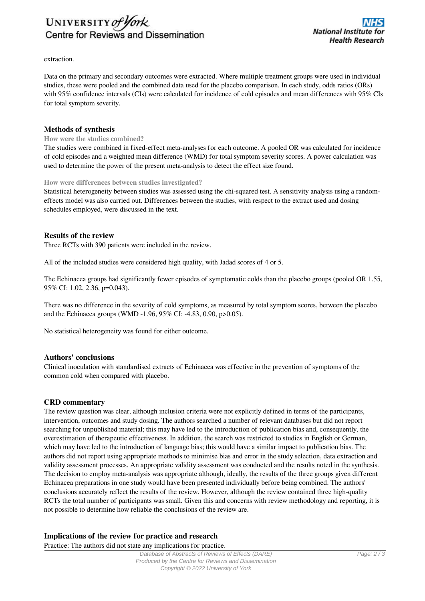

extraction.

Data on the primary and secondary outcomes were extracted. Where multiple treatment groups were used in individual studies, these were pooled and the combined data used for the placebo comparison. In each study, odds ratios (ORs) with 95% confidence intervals (CIs) were calculated for incidence of cold episodes and mean differences with 95% CIs for total symptom severity.

### **Methods of synthesis**

#### **How were the studies combined?**

The studies were combined in fixed-effect meta-analyses for each outcome. A pooled OR was calculated for incidence of cold episodes and a weighted mean difference (WMD) for total symptom severity scores. A power calculation was used to determine the power of the present meta-analysis to detect the effect size found.

#### **How were differences between studies investigated?**

Statistical heterogeneity between studies was assessed using the chi-squared test. A sensitivity analysis using a randomeffects model was also carried out. Differences between the studies, with respect to the extract used and dosing schedules employed, were discussed in the text.

#### **Results of the review**

Three RCTs with 390 patients were included in the review.

All of the included studies were considered high quality, with Jadad scores of 4 or 5.

The Echinacea groups had significantly fewer episodes of symptomatic colds than the placebo groups (pooled OR 1.55, 95% CI: 1.02, 2.36, p=0.043).

There was no difference in the severity of cold symptoms, as measured by total symptom scores, between the placebo and the Echinacea groups (WMD -1.96, 95% CI: -4.83, 0.90, p>0.05).

No statistical heterogeneity was found for either outcome.

### **Authors' conclusions**

Clinical inoculation with standardised extracts of Echinacea was effective in the prevention of symptoms of the common cold when compared with placebo.

#### **CRD commentary**

The review question was clear, although inclusion criteria were not explicitly defined in terms of the participants, intervention, outcomes and study dosing. The authors searched a number of relevant databases but did not report searching for unpublished material; this may have led to the introduction of publication bias and, consequently, the overestimation of therapeutic effectiveness. In addition, the search was restricted to studies in English or German, which may have led to the introduction of language bias; this would have a similar impact to publication bias. The authors did not report using appropriate methods to minimise bias and error in the study selection, data extraction and validity assessment processes. An appropriate validity assessment was conducted and the results noted in the synthesis. The decision to employ meta-analysis was appropriate although, ideally, the results of the three groups given different Echinacea preparations in one study would have been presented individually before being combined. The authors' conclusions accurately reflect the results of the review. However, although the review contained three high-quality RCTs the total number of participants was small. Given this and concerns with review methodology and reporting, it is not possible to determine how reliable the conclusions of the review are.

#### **Implications of the review for practice and research**

Practice: The authors did not state any implications for practice.